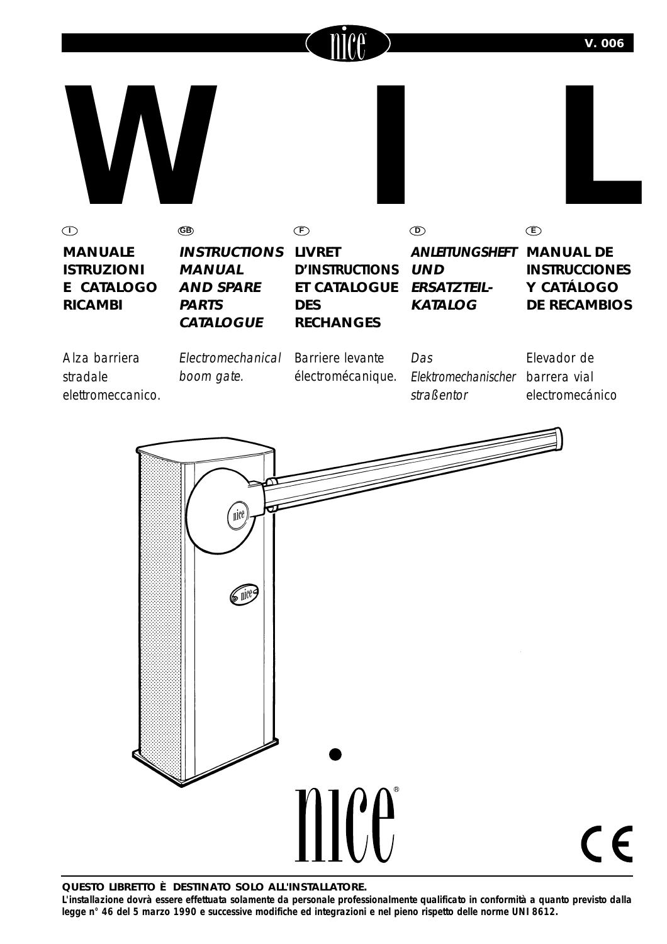

**QUESTO LIBRETTO È DESTINATO SOLO ALL'INSTALLATORE.**

**L'installazione dovrà essere effettuata solamente da personale professionalmente qualificato in conformità a quanto previsto dalla legge n° 46 del 5 marzo 1990 e successive modifiche ed integrazioni e nel pieno rispetto delle norme UNI 8612.**

MICA

 $\epsilon$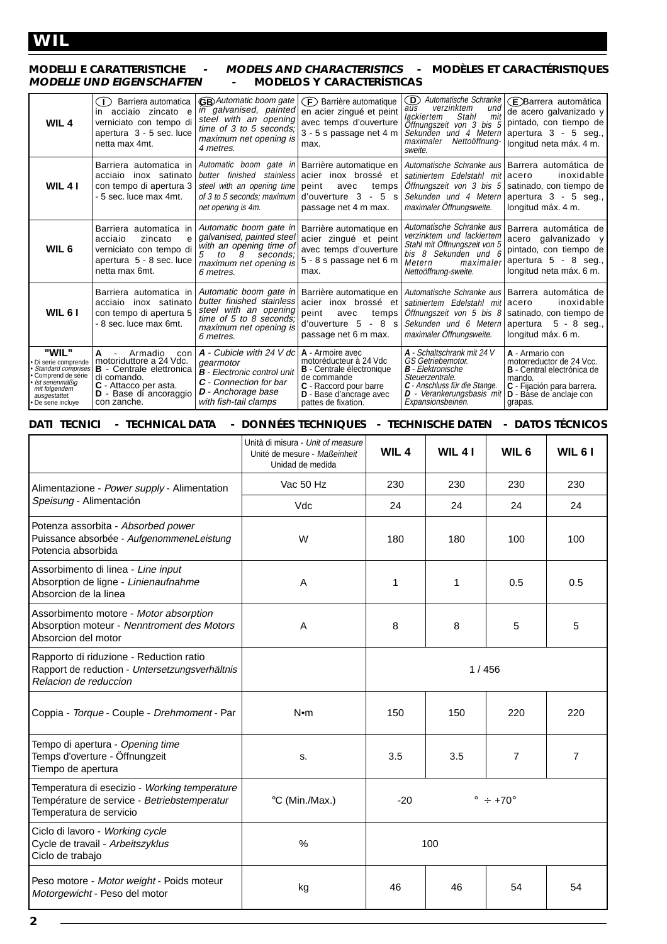## **MODELLI E CARATTERISTICHE - MODELS AND CHARACTERISTICS - MODÈLES ET CARACTÉRISTIQUES MODELLE UND EIGENSCHAFTEN**

| WIL4                                                                                                                                                      | Barriera automatica<br>(1)<br>in acciaio zincato e<br>verniciato con tempo di<br>apertura 3 - 5 sec. luce<br>netta max 4mt.                                                      | <b>GB</b> ) Automatic boom gate<br>in galvanised, painted<br>steel with an opening<br>time of 3 to 5 seconds:<br>maximum net opening is<br>4 metres.                 | $(F)$ Barrière automatique<br>en acier zingué et peint<br>avec temps d'ouverture<br>3 - 5 s passage net 4 m<br>max.                                                              | (D) Automatische Schranke<br>verzinktem<br>aus<br>und<br>lackiertem<br>Stahl<br>mit<br>Offnungszeit von 3 bis 5<br>Sekunden und 4 Metern<br>Nettoöffnung-<br>maximaler<br>sweite.               | <b>E</b> Barrera automática<br>de acero galvanizado y<br>pintado, con tiempo de<br>apertura $3 - 5$ seg.,<br>longitud neta máx. 4 m.                           |
|-----------------------------------------------------------------------------------------------------------------------------------------------------------|----------------------------------------------------------------------------------------------------------------------------------------------------------------------------------|----------------------------------------------------------------------------------------------------------------------------------------------------------------------|----------------------------------------------------------------------------------------------------------------------------------------------------------------------------------|-------------------------------------------------------------------------------------------------------------------------------------------------------------------------------------------------|----------------------------------------------------------------------------------------------------------------------------------------------------------------|
| WIL41                                                                                                                                                     | Barriera automatica in<br>inox satinato<br>acciaio<br>con tempo di apertura 3<br>- 5 sec. luce max 4mt.                                                                          | butter finished stainless<br>steel with an opening time<br>of 3 to 5 seconds; maximum<br>net opening is 4m.                                                          | Automatic boom gate in Barrière automatique en<br>acier inox brossé et<br>peint<br>avec<br>temps<br>d'ouverture 3<br>$-5s$<br>passage net 4 m max.                               | satiniertem Edelstahl mit<br>Offnungszeit von 3 bis 5<br>Sekunden und 4 Metern<br>maximaler Öffnungsweite.                                                                                      | Automatische Schranke aus   Barrera automática de<br>inoxidable<br>acero<br>satinado, con tiempo de<br>apertura $3 - 5$ seq.,<br>longitud máx. 4 m.            |
| WIL <sub>6</sub>                                                                                                                                          | Barriera automatica in<br>acciaio<br>zincato<br>verniciato con tempo di<br>apertura 5 - 8 sec. luce<br>netta max 6mt.                                                            | Automatic boom gate in<br>galvanised, painted steel<br>with an opening time of<br>to $\beta$<br>seconds:<br>maximum net opening is<br>6 metres.                      | Barrière automatique en<br>acier zingué et peint<br>avec temps d'ouverture<br>5 - 8 s passage net 6 m<br>max.                                                                    | Automatische Schranke aus<br>verzinktem und lackiertem<br>Stahl mit Offnungszeit von 5<br>bis 8 Sekunden und 6<br>Metern<br>maximaler<br>Nettoöffnung-sweite.                                   | Barrera automática de<br>acero galvanizado y<br>pintado, con tiempo de<br>apertura $5 - 8$ seq.,<br>longitud neta máx. 6 m.                                    |
| WIL 61                                                                                                                                                    | Barriera automatica in<br>acciaio inox satinato<br>con tempo di apertura 5<br>- 8 sec. luce max 6mt.                                                                             | Automatic boom gate in<br>butter finished stainless<br>steel with an opening<br>time of 5 to 8 seconds.<br>maximum net opening is<br>6 metres.                       | Barrière automatique en<br>acier inox brossé et<br>peint<br>temps<br>avec<br>d'ouverture 5<br>$-8s$<br>passage net 6 m max.                                                      | Automatische Schranke aus<br>satiniertem Edelstahl mit<br>Offnungszeit von 5 bis 8<br>Sekunden und 6 Metern<br>maximaler Öffnungsweite.                                                         | Barrera automática de<br>inoxidable<br>acero<br>satinado, con tiempo de<br>$5 - 8$ seg.,<br>apertura<br>longitud máx. 6 m.                                     |
| "WIL"<br>· Di serie comprende<br>• Standard comprises<br>• Comprend de série<br>· Ist serienmäßig<br>mit folgendem<br>ausgestattet.<br>• De serie incluye | Armadio<br>А<br>con<br>motoriduttore a 24 Vdc.<br><b>B</b> - Centrale elettronica<br>di comando.<br><b>C</b> - Attacco per asta.<br><b>D</b> - Base di ancoraggio<br>con zanche. | $A$ - Cubicle with 24 V dc<br>gearmotor<br><b>B</b> - Electronic control unit<br><b>C</b> - Connection for bar<br><b>D</b> - Anchorage base<br>with fish-tail clamps | A - Armoire avec<br>motoréducteur à 24 Vdc<br><b>B</b> - Centrale électronique<br>de commande<br>C - Raccord pour barre<br><b>D</b> - Base d'ancrage avec<br>pattes de fixation. | A - Schaltschrank mit 24 V<br><b>GS</b> Getriebemotor.<br><b>B</b> - Elektronische<br>Steuerzentrale.<br>C - Anschluss für die Stange.<br><b>D</b> - Verankerungsbasis mit<br>Expansionsbeinen. | A - Armario con<br>motorreductor de 24 Vcc.<br><b>B</b> - Central electrónica de<br>mando.<br>C - Fijación para barrera.<br>D - Base de anclaje con<br>grapas. |

## DATI TECNICI - TECHNICAL DATA - DONNÉES TECHNIQUES - TECHNISCHE DATEN - DATOS TÉCNICOS

|                                                                                                                         | Unità di misura - Unit of measure<br>Unité de mesure - Maßeinheit<br>Unidad de medida | WIL <sub>4</sub> | WIL41 | WIL <sub>6</sub>              | WIL 61         |
|-------------------------------------------------------------------------------------------------------------------------|---------------------------------------------------------------------------------------|------------------|-------|-------------------------------|----------------|
| Alimentazione - Power supply - Alimentation                                                                             | Vac 50 Hz                                                                             | 230              | 230   | 230                           | 230            |
| Speisung - Alimentación                                                                                                 | Vdc                                                                                   | 24               | 24    | 24                            | 24             |
| Potenza assorbita - Absorbed power<br>Puissance absorbée - AufgenommeneLeistung<br>Potencia absorbida                   | W                                                                                     | 180              | 180   | 100                           | 100            |
| Assorbimento di linea - Line input<br>Absorption de ligne - Linienaufnahme<br>Absorcion de la linea                     | A                                                                                     | 1                | 1     | 0.5                           | 0.5            |
| Assorbimento motore - Motor absorption<br>Absorption moteur - Nenntroment des Motors<br>Absorcion del motor             | A                                                                                     | 8                | 8     | 5                             | 5              |
| Rapporto di riduzione - Reduction ratio<br>Rapport de reduction - Untersetzungsverhältnis<br>Relacion de reduccion      |                                                                                       |                  | 1/456 |                               |                |
| Coppia - Torque - Couple - Drehmoment - Par                                                                             | $N$ •m                                                                                | 150              | 150   | 220                           | 220            |
| Tempo di apertura - Opening time<br>Temps d'overture - Öffnungzeit<br>Tiempo de apertura                                | S.                                                                                    | 3.5              | 3.5   | $\overline{7}$                | $\overline{7}$ |
| Temperatura di esecizio - Working temperature<br>Température de service - Betriebstemperatur<br>Temperatura de servicio | °C (Min./Max.)                                                                        |                  |       | $-20^{\circ} \div 70^{\circ}$ |                |
| Ciclo di lavoro - Working cycle<br>Cycle de travail - Arbeitszyklus<br>$\%$<br>Ciclo de trabajo                         |                                                                                       | 100              |       |                               |                |
| Peso motore - Motor weight - Poids moteur<br>Motorgewicht - Peso del motor                                              | kg                                                                                    | 46               | 46    | 54                            | 54             |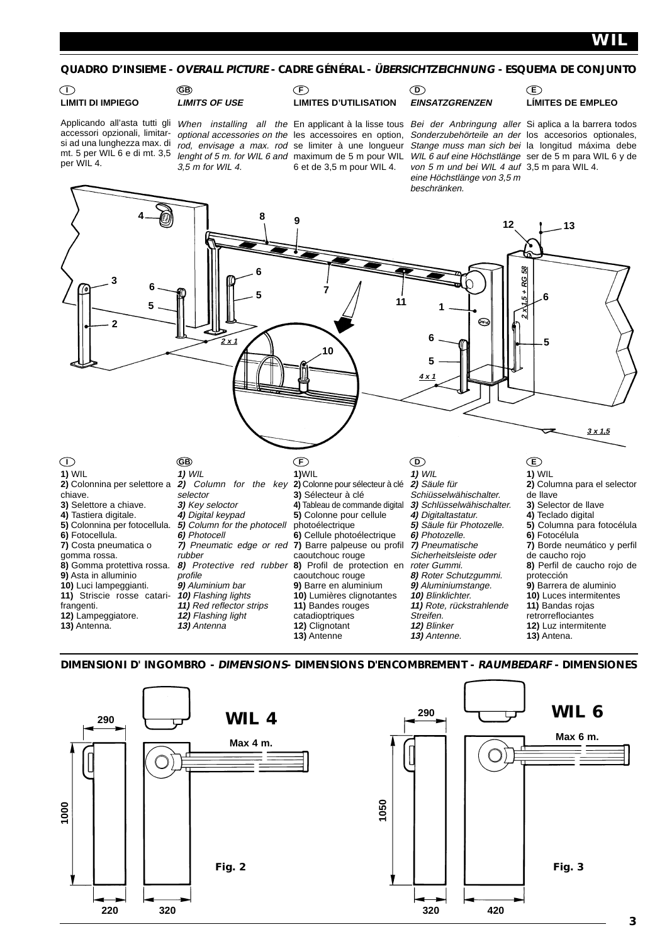### **QUADRO D'INSIEME - OVERALL PICTURE - CADRE GÉNÉRAL - ÜBERSICHTZEICHNUNG - ESQUEMA DE CONJUNTO**

### **LIMITI DI IMPIEGO I GB F D E**

# **LIMITS OF USE**

3,5 m for WIL 4.

# **LIMITES D'UTILISATION**

# **EINSATZGRENZEN**

## **LÍMITES DE EMPLEO**

accessori opzionali, limitarsi ad una lunghezza max. di per WIL 4.

Applicando all'asta tutti gli When installing all the En applicant à la lisse tous Bei der Anbringung aller Si aplica a la barrera todos

mt. 5 per WIL 6 e di mt. 3,5 lenght of 5 m. for WIL 6 and maximum de 5 m pour WIL optional accessories on the les accessoires en option, rod, envisage a max. rod se limiter à une longueur 6 et de 3,5 m pour WIL 4.

Sonderzubehörteile an der los accesorios optionales, Stange muss man sich bei la longitud máxima debe WIL 6 auf eine Höchstlänge ser de 5 m para WIL 6 y de von 5 m und bei WIL 4 auf 3,5 m para WIL 4. eine Höchstlänge von 3,5 m beschränken.



### **DIMENSIONI D' INGOMBRO - DIMENSIONS- DIMENSIONS D'ENCOMBREMENT - RAUMBEDARF - DIMENSIONES**

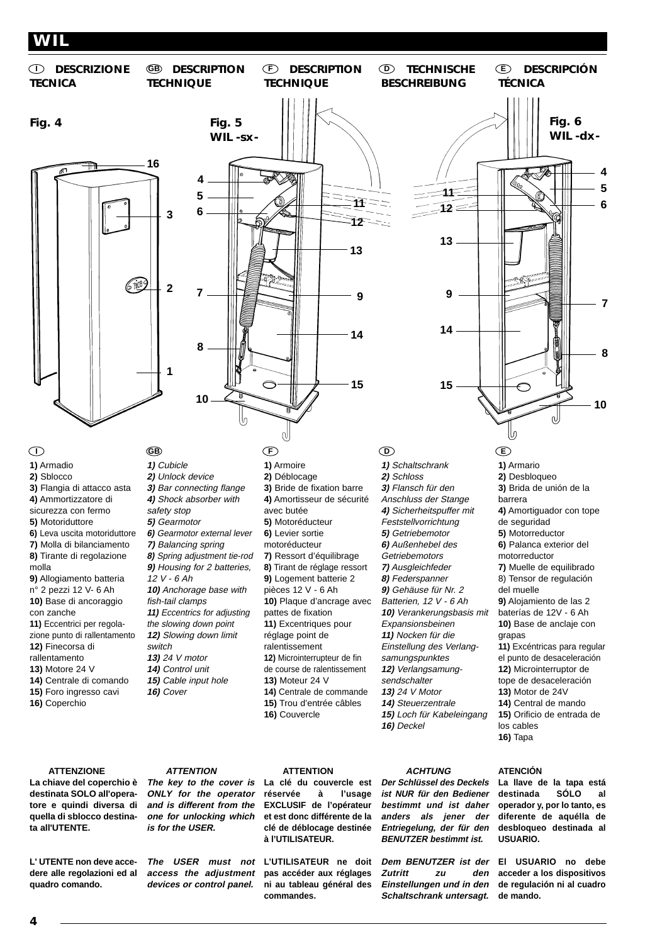**GB** DESCRIPTION **TECHNIQUE**  $\Box$  descrizione @ description  $\odot$  description  $\odot$  technische  $\in$ 







**1)** Armadio

**2)** Sblocco

**3)** Flangia di attacco asta

**4)** Ammortizzatore di

- sicurezza con fermo
- **5)** Motoriduttore

**6)** Leva uscita motoriduttore **7)** Molla di bilanciamento

- **8)** Tirante di regolazione
- molla

**9)** Allogiamento batteria n° 2 pezzi 12 V- 6 Ah

**10)** Base di ancoraggio

- con zanche
- **11)** Eccentrici per regola-

zione punto di rallentamento **12)** Finecorsa di

rallentamento

**13)** Motore 24 V

- **14)** Centrale di comando
- **15)** Foro ingresso cavi
- **16)** Coperchio

### **ATTENZIONE**

**destinata SOLO all'operatore e quindi diversa di quella di sblocco destinata all'UTENTE.**

**L' UTENTE non deve accedere alle regolazioni ed al quadro comando.**

**1)** Cubicle **2)** Unlock device **3)** Bar connecting flange **4)** Shock absorber with safety stop **5)** Gearmotor **6)** Gearmotor external lever **7)** Balancing spring **8)** Spring adjustment tie-rod **9)** Housing for 2 batteries, 12 V - 6 Ah **10)** Anchorage base with fish-tail clamps **11)** Eccentrics for adjusting the slowing down point **12)** Slowing down limit switch **13)** 24 V motor **14)** Control unit **15)** Cable input hole **16)** Cover

**1)** Armoire **2)** Déblocage **3)** Bride de fixation barre **4)** Amortisseur de sécurité avec butée **5)** Motoréducteur **6)** Levier sortie motoréducteur **7)** Ressort d'équilibrage **8)** Tirant de réglage ressort **9)** Logement batterie 2 pièces 12 V - 6 Ah **10)** Plaque d'ancrage avec pattes de fixation **11)** Excentriques pour réglage point de ralentissement **12)** Microinterrupteur de fin de course de ralentissement **13)** Moteur 24 V **14)** Centrale de commande **15)** Trou d'entrée câbles **16)** Couvercle

**1)** Schaltschrank **2)** Schloss **3)** Flansch für den Anschluss der Stange **4)** Sicherheitspuffer mit **Feststellvorrichtung 5)** Getriebemotor **6)** Außenhebel des **Getriebemotors 7)** Ausgleichfeder **8)** Federspanner **9)** Gehäuse für Nr. 2 Batterien, 12 V - 6 Ah **10)** Verankerungsbasis mit Expansionsbeinen **11)** Nocken für die Einstellung des Verlangsamungspunktes **12)** Verlangsamungsendschalter **13)** 24 V Motor **14)** Steuerzentrale **15)** Loch für Kabeleingang **16)** Deckel

**ACHTUNG Der Schlüssel des Deckels ist NUR für den Bediener bestimmt und ist daher anders als jener der Entriegelung, der für den BENUTZER bestimmt ist.** 

## **1)** Armario **2)** Desbloqueo **3)** Brida de unión de la barrera **4)** Amortiguador con tope

de seguridad **5)** Motorreductor **6)** Palanca exterior del motorreductor **7)** Muelle de equilibrado 8) Tensor de regulación del muelle **9)** Alojamiento de las 2 baterías de 12V - 6 Ah **10)** Base de anclaje con grapas **11)** Excéntricas para regular el punto de desaceleración **12)** Microinterruptor de tope de desaceleración **13)** Motor de 24V **14)** Central de mando **15)** Orificio de entrada de los cables

**16)** Tapa

### **ATENCIÓN**

**La llave de la tapa está destinada SÓLO al operador y, por lo tanto, es diferente de aquélla de desbloqueo destinada al USUARIO.**

**Dem BENUTZER ist der Zutritt zu den Einstellungen und in den Schaltschrank untersagt. de mando. El USUARIO no debe acceder a los dispositivos de regulación ni al cuadro**

**ATTENTION ONLY for the operator and is different from the one for unlocking which is for the USER.**

**access the adjustment devices or control panel.**

**ATTENTION**

**La chiave del coperchio è The key to the cover is La clé du couvercle est réservée à l'usage EXCLUSIF de l'opérateur et est donc différente de la clé de déblocage destinée à l'UTILISATEUR.**

> **The USER must not L'UTILISATEUR ne doit pas accéder aux réglages ni au tableau général des commandes.**

**4**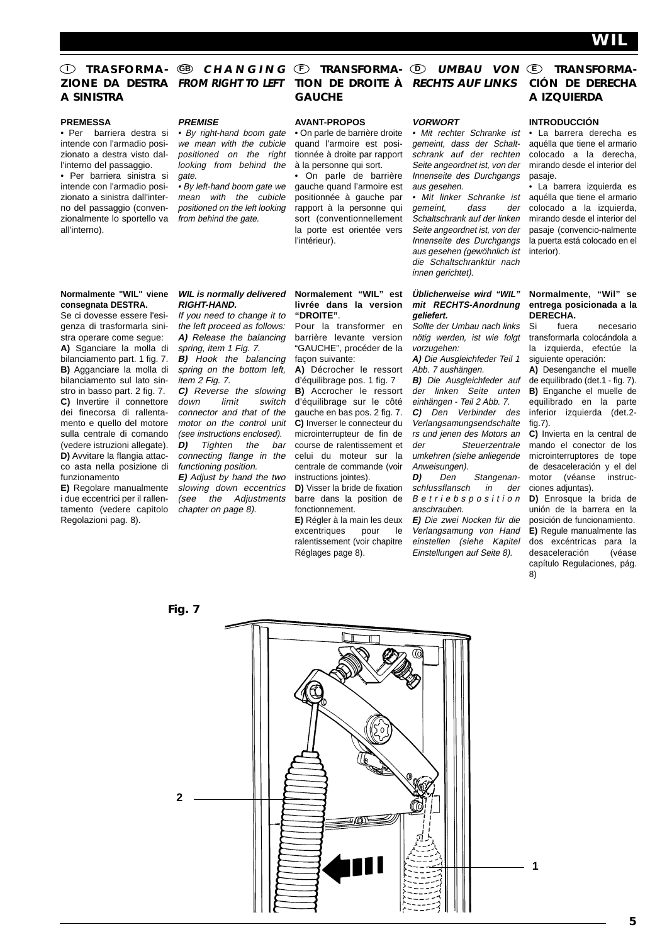### $\mathbb D$  <code>TRASFORMA-  $\textcircled{\tiny{\textcircled{\tiny{E}}}}$  <code>CHANGING</code>  $\textcircled{\tiny{\textcircled{\tiny{E}}}}$  <code>TRANGIORMA-</code>  $\textcircled{\tiny{\textcircled{\tiny{E}}}}$  <code>DMBAU</code> <code>VON</code>  $\textcircled{\tiny{\textcircled{\tiny{E}}}}$  <code>TRANSFORMA-</code></code> **ZIONE DA DESTRA FROM RIGHT TO LEFT A SINISTRA**

### **PREMESSA**

• Per barriera destra si intende con l'armadio posizionato a destra visto dall'interno del passaggio.

• Per barriera sinistra si intende con l'armadio posizionato a sinistra dall'interno del passaggio (convenzionalmente lo sportello va all'interno).

### **PREMISE**

• By right-hand boom gate we mean with the cubicle positioned on the right looking from behind the gate.

• By left-hand boom gate we mean with the cubicle positioned on the left looking from behind the gate.

# **TION DE DROITE À RECHTS AUF LINKS GAUCHE**

### **AVANT-PROPOS**

• On parle de barrière droite quand l'armoire est positionnée à droite par rapport à la personne qui sort.

• On parle de barrière gauche quand l'armoire est positionnée à gauche par rapport à la personne qui sort (conventionnellement la porte est orientée vers l'intérieur).

### **VORWORT**

• Mit rechter Schranke ist gemeint, dass der Schaltschrank auf der rechten Seite angeordnet ist, von der Innenseite des Durchgangs aus gesehen.

• Mit linker Schranke ist gemeint, dass der Schaltschrank auf der linken Seite angeordnet ist, von der Innenseite des Durchgangs aus gesehen (gewöhnlich ist die Schaltschranktür nach innen gerichtet).

### **Üblicherweise wird "WIL" mit RECHTS-Anordnung geliefert.**

Sollte der Umbau nach links nötig werden, ist wie folgt vorzugehen:

**A)** Die Ausgleichfeder Teil 1 Abb. 7 aushängen.

**B)** Die Ausgleichfeder auf der linken Seite unten einhängen - Teil 2 Abb. 7. **C)** Den Verbinder des Verlangsamungsendschalte rs und jenen des Motors an

der Steuerzentrale umkehren (siehe anliegende Anweisungen).

**D)** Den Stangenanschlussflansch in der Betriebsposition anschrauben.

**E)** Die zwei Nocken für die Verlangsamung von Hand einstellen (siehe Kapitel Einstellungen auf Seite 8).

# **CIÓN DE DERECHA A IZQUIERDA**

### **INTRODUCCIÓN**

• La barrera derecha es aquélla que tiene el armario colocado a la derecha, mirando desde el interior del pasaje.

• La barrera izquierda es aquélla que tiene el armario colocado a la izquierda, mirando desde el interior del pasaje (convencio-nalmente la puerta está colocado en el interior).

### **Normalmente, "Wil" se entrega posicionada a la DERECHA.**

Si fuera necesario transformarla colocándola a la izquierda, efectúe la siguiente operación:

**A)** Desenganche el muelle de equilibrado (det.1 - fig. 7). **B)** Enganche el muelle de equilibrado en la parte inferior izquierda (det.2 fig.7).

**C)** Invierta en la central de mando el conector de los microinterruptores de tope de desaceleración y el del motor (véanse instrucciones adjuntas).

**D)** Enrosque la brida de unión de la barrera en la posición de funcionamiento. **E)** Regule manualmente las dos excéntricas para la desaceleración (véase capítulo Regulaciones, pág. 8)

### **Normalmente "WIL" viene consegnata DESTRA.**

Se ci dovesse essere l'esigenza di trasformarla sinistra operare come segue: **A)** Sganciare la molla di bilanciamento part. 1 fig. 7. **B)** Agganciare la molla di bilanciamento sul lato sinstro in basso part. 2 fig. 7. **C)** Invertire il connettore dei finecorsa di rallentamento e quello del motore sulla centrale di comando (vedere istruzioni allegate). **D)** Avvitare la flangia attacco asta nella posizione di funzionamento

**E)** Regolare manualmente i due eccentrici per il rallentamento (vedere capitolo Regolazioni pag. 8).

### **WIL is normally delivered RIGHT-HAND.** If you need to change it to

the left proceed as follows: **A)** Release the balancing spring, item 1 Fig. 7. **B)** Hook the balancing

spring on the bottom left. item 2 Fig. 7.

**C)** Reverse the slowing down limit switch connector and that of the motor on the control unit (see instructions enclosed). **D)** Tighten the bar connecting flange in the functioning position.

**E)** Adjust by hand the two slowing down eccentrics (see the Adjustments chapter on page 8).

**2**

**Fig. 7**

### **Normalement "WIL" est livrée dans la version "DROITE"**.

Pour la transformer en barrière levante version "GAUCHE", procéder de la façon suivante:

**A)** Décrocher le ressort d'équilibrage pos. 1 fig. 7 **B)** Accrocher le ressort d'équilibrage sur le côté gauche en bas pos. 2 fig. 7. **C)** Inverser le connecteur du microinterrupteur de fin de course de ralentissement et celui du moteur sur la centrale de commande (voir instructions jointes).

**D)** Visser la bride de fixation barre dans la position de fonctionnement.

**E)** Régler à la main les deux excentriques pour le ralentissement (voir chapitre Réglages page 8).

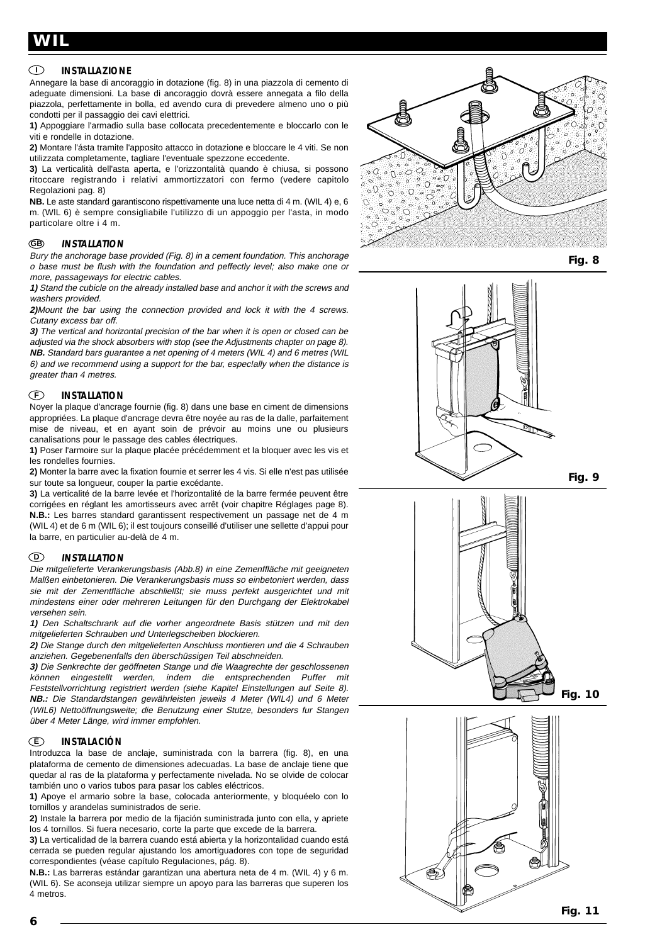#### $\bigcap$ **INSTALLAZIONE**

Annegare la base di ancoraggio in dotazione (fig. 8) in una piazzola di cemento di adeguate dimensioni. La base di ancoraggio dovrà essere annegata a filo della piazzola, perfettamente in bolla, ed avendo cura di prevedere almeno uno o più condotti per il passaggio dei cavi elettrici.

**1)** Appoggiare l'armadio sulla base collocata precedentemente e bloccarlo con le viti e rondelle in dotazione.

**2)** Montare l'ásta tramite l'apposito attacco in dotazione e bloccare le 4 viti. Se non utilizzata completamente, tagliare l'eventuale spezzone eccedente.

**3)** La verticalità dell'asta aperta, e l'orizzontalità quando è chiusa, si possono ritoccare registrando i relativi ammortizzatori con fermo (vedere capitolo Regolazioni pag. 8)

**NB.** Le aste standard garantiscono rispettivamente una luce netta di 4 m. (WIL 4) e, 6 m. (WlL 6) è sempre consigliabile l'utilizzo di un appoggio per l'asta, in modo particolare oltre i 4 m.

#### **INSTALLATION GB**

Bury the anchorage base provided (Fig. 8) in a cement foundation. This anchorage o base must be flush with the foundation and peffectly level; also make one or more, passageways for electric cables.

**1)** Stand the cubicle on the already installed base and anchor it with the screws and washers provided.

**2)**Mount the bar using the connection provided and lock it with the 4 screws. Cutany excess bar off.

**3)** The vertical and horizontal precision of the bar when it is open or closed can be adjusted via the shock absorbers with stop (see the Adjustments chapter on page 8). **NB.** Standard bars guarantee a net opening of 4 meters (WIL 4) and 6 metres (WIL 6) and we recommend using a support for the bar, espec!ally when the distance is greater than 4 metres.

### $(F)$ **INSTALLATION**

Noyer la plaque d'ancrage fournie (fig. 8) dans une base en ciment de dimensions appropriées. La plaque d'ancrage devra être noyée au ras de la dalle, parfaitement mise de niveau, et en ayant soin de prévoir au moins une ou plusieurs canalisations pour le passage des cables électriques.

**1)** Poser l'armoire sur la plaque placée précédemment et la bloquer avec les vis et les rondelles fournies.

**2)** Monter la barre avec la fixation fournie et serrer les 4 vis. Si elle n'est pas utilisée sur toute sa longueur, couper la partie excédante.

**3)** La verticalité de la barre levée et l'horizontalité de la barre fermée peuvent être corrigées en réglant les amortisseurs avec arrêt (voir chapitre Réglages page 8). **N.B.:** Les barres standard garantissent respectivement un passage net de 4 m (WIL 4) et de 6 m (WIL 6); il est toujours conseillé d'utiliser une sellette d'appui pour la barre, en particulier au-delà de 4 m.

#### $\circledcirc$ **INSTALLATION**

Die mitgelieferte Verankerungsbasis (Abb.8) in eine Zemenffläche mit geeigneten Malßen einbetonieren. Die Verankerungsbasis muss so einbetoniert werden, dass sie mit der Zementfläche abschlielßt; sie muss perfekt ausgerichtet und mit mindestens einer oder mehreren Leitungen für den Durchgang der Elektrokabel versehen sein.

**1)** Den Schaltschrank auf die vorher angeordnete Basis stützen und mit den mitgelieferten Schrauben und Unterlegscheiben blockieren.

**2)** Die Stange durch den mitgelieferten Anschluss montieren und die 4 Schrauben anziehen. Gegebenenfalls den überschüssigen Teil abschneiden.

**3)** Die Senkrechte der geöffneten Stange und die Waagrechte der geschlossenen können eingestellt werden, indem die entsprechenden Puffer mit Feststellvorrichtung registriert werden (siehe Kapitel Einstellungen auf Seite 8). **NB.:** Die Standardstangen gewährleisten jeweils 4 Meter (WIL4) und 6 Meter (WIL6) Nettoöffnungsweite; die Benutzung einer Stutze, besonders fur Stangen über 4 Meter Länge, wird immer empfohlen. IFJST dia O)iti)tit(welleria house) net)2.5)in(leria) au)2.5) di) Oll.Kath Di)2.5)in)2.5)in)2.5)in(le

### $\bigcirc$ **INSTALACIÓN**

Introduzca la base de anclaje, suministrada con la barrera (fig. 8), en una plataforma de cemento de dimensiones adecuadas. La base de anclaje tiene que quedar al ras de la plataforma y perfectamente nivelada. No se olvide de colocar también uno o varios tubos para pasar los cables eléctricos.

**1)** Apoye el armario sobre la base, colocada anteriormente, y bloquéelo con lo tornillos y arandelas suministrados de serie.

**2)** Instale la barrera por medio de la fijación suministrada junto con ella, y apriete los 4 tornillos. Si fuera necesario, corte la parte que excede de la barrera.

**3)** La verticalidad de la barrera cuando está abierta y la horizontalidad cuando está cerrada se pueden regular ajustando los amortiguadores con tope de seguridad correspondientes (véase capítulo Regulaciones, pág. 8).

**N.B.:** Las barreras estándar garantizan una abertura neta de 4 m. (WIL 4) y 6 m. (WIL 6). Se aconseja utilizar siempre un apoyo para las barreras que superen los 4 metros.



**Fig. 8**





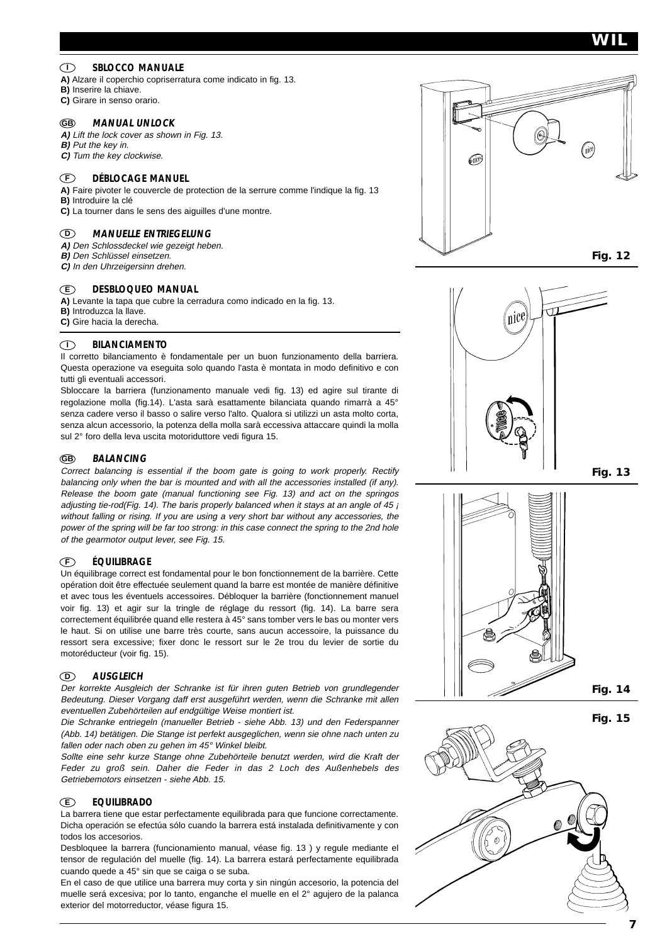### **SBLOCCO MANUALE I**

**A)** Alzare il coperchio copriserratura come indicato in fig. 13.

- **B)** Inserire la chiave.
- **C)** Girare in senso orario.

#### **MANUAL UNLOCK GB**

**A)** Lift the lock cover as shown in Fig. 13. **B)** Put the key in. **C)** Tum the key clockwise.

#### **DÉBLOCAGE MANUEL F**

**A)** Faire pivoter le couvercle de protection de la serrure comme l'indique la fig. 13 **B)** Introduire la clé

**C)** La tourner dans le sens des aiguilles d'une montre.

**MANUELLE ENTRIEGELUNG D**

**A)** Den Schlossdeckel wie gezeigt heben.

- **B)** Den Schlüssel einsetzen.
- **C)** In den Uhrzeigersinn drehen.

#### **DESBLOQUEO MANUAL E**

**A)** Levante la tapa que cubre la cerradura como indicado en la fig. 13. **B)** Introduzca la llave. **C)** Gire hacia la derecha.

#### **BILANCIAMENTO I**

Il corretto bilanciamento è fondamentale per un buon funzionamento della barriera. Questa operazione va eseguita solo quando l'asta è montata in modo definitivo e con tutti gli eventuali accessori.

Sbloccare la barriera (funzionamento manuale vedi fig. 13) ed agire sul tirante di regolazione molla (fig.14). L'asta sarà esattamente bilanciata quando rimarrà a 45° senza cadere verso il basso o salire verso l'alto. Qualora si utilizzi un asta molto corta, senza alcun accessorio, la potenza della molla sarà eccessiva attaccare quindi la molla sul 2° foro della leva uscita motoriduttore vedi figura 15.

#### **BALANCING GB**

Correct balancing is essential if the boom gate is going to work properly. Rectify balancing only when the bar is mounted and with all the accessories installed (if any). Release the boom gate (manual functioning see Fig. 13) and act on the springos adjusting tie-rod(Fig. 14). The baris properly balanced when it stays at an angle of 45  $<sub>i</sub>$ </sub> without falling or rising. If you are using a very short bar without any accessories, the power of the spring will be far too strong: in this case connect the spring to the 2nd hole of the gearmotor output lever, see Fig. 15.

#### **ÉQUILIBRAGE F**

Un équilibrage correct est fondamental pour le bon fonctionnement de la barrière. Cette opération doit être effectuée seulement quand la barre est montée de manière définitive et avec tous les éventuels accessoires. Débloquer la barrière (fonctionnement manuel voir fig. 13) et agir sur la tringle de réglage du ressort (fig. 14). La barre sera correctement équilibrée quand elle restera à 45° sans tomber vers le bas ou monter vers le haut. Si on utilise une barre très courte, sans aucun accessoire, la puissance du ressort sera excessive; fixer donc le ressort sur le 2e trou du levier de sortie du motoréducteur (voir fig. 15).

#### **AUSGLEICH D**

Der korrekte Ausgleich der Schranke ist für ihren guten Betrieb von grundlegender Bedeutung. Dieser Vorgang daff erst ausgeführt werden, wenn die Schranke mit allen eventuellen Zubehörteilen auf endgültige Weise montiert ist.

Die Schranke entriegeln (manueller Betrieb - siehe Abb. 13) und den Federspanner (Abb. 14) betätigen. Die Stange ist perfekt ausgeglichen, wenn sie ohne nach unten zu fallen oder nach oben zu gehen im 45° Winkel bleibt.

Sollte eine sehr kurze Stange ohne Zubehörteile benutzt werden, wird die Kraft der Feder zu groß sein. Daher die Feder in das 2 Loch des Außenhebels des Getriebemotors einsetzen - siehe Abb. 15.

#### **EQUILIBRADO E**

La barrera tiene que estar perfectamente equilibrada para que funcione correctamente. Dicha operación se efectúa sólo cuando la barrera está instalada definitivamente y con todos los accesorios.

Desbloquee la barrera (funcionamiento manual, véase fig. 13 ) y regule mediante el tensor de regulación del muelle (fig. 14). La barrera estará perfectamente equilibrada cuando quede a 45° sin que se caiga o se suba.

En el caso de que utilice una barrera muy corta y sin ningún accesorio, la potencia del muelle será excesiva; por lo tanto, enganche el muelle en el 2° agujero de la palanca exterior del motorreductor, véase figura 15.







**Fig. 14**

**Fig. 15**

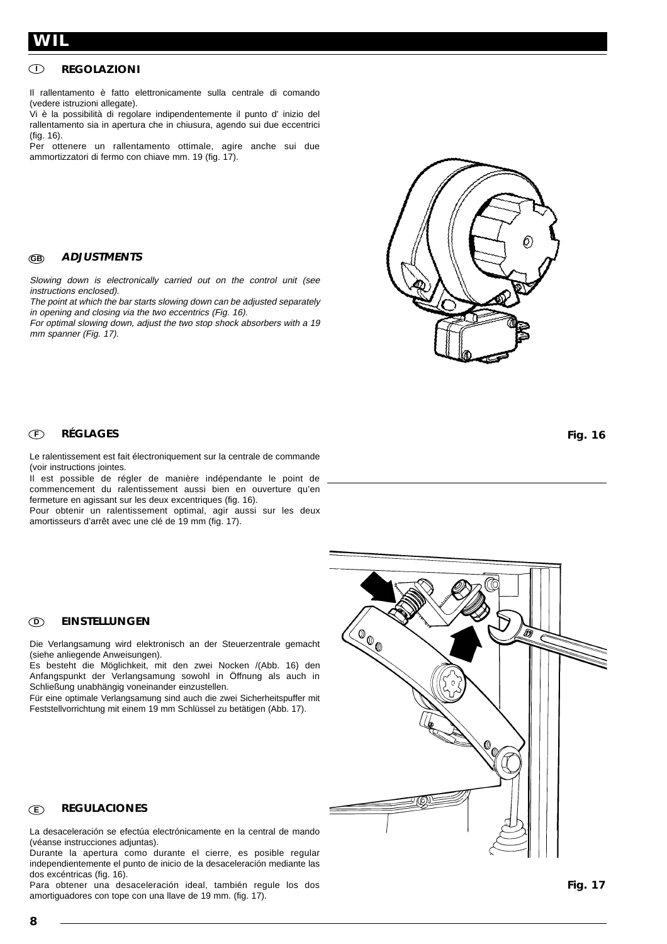### **REGOLAZIONI I**

Il rallentamento è fatto elettronicamente sulla centrale di comando (vedere istruzioni allegate).

Vi è la possibilità di regolare indipendentemente il punto d' inizio del rallentamento sia in apertura che in chiusura, agendo sui due eccentrici (fig. 16).

Per ottenere un rallentamento ottimale, agire anche sui due ammortizzatori di fermo con chiave mm. 19 (fig. 17).

#### **ADJUSTMENTS GB**

Slowing down is electronically carried out on the control unit (see instructions enclosed).

The point at which the bar starts slowing down can be adjusted separately in opening and closing via the two eccentrics (Fig. 16).

For optimal slowing down, adjust the two stop shock absorbers with a 19 mm spanner (Fig. 17).

### **RÉGLAGES F**

Le ralentissement est fait électroniquement sur la centrale de commande (voir instructions jointes.

Il est possible de régler de manière indépendante le point de commencement du ralentissement aussi bien en ouverture qu'en fermeture en agissant sur les deux excentriques (fig. 16).

Pour obtenir un ralentissement optimal, agir aussi sur les deux amortisseurs d'arrêt avec une clé de 19 mm (fig. 17).

#### **EINSTELLUNGEN D**

Die Verlangsamung wird elektronisch an der Steuerzentrale gemacht (siehe anliegende Anweisungen).

Es besteht die Möglichkeit, mit den zwei Nocken /(Abb. 16) den Anfangspunkt der Verlangsamung sowohl in Öffnung als auch in Schließung unabhängig voneinander einzustellen.

Für eine optimale Verlangsamung sind auch die zwei Sicherheitspuffer mit Feststellvorrichtung mit einem 19 mm Schlüssel zu betätigen (Abb. 17).

### **REGULACIONES E**

La desaceleración se efectúa electrónicamente en la central de mando (véanse instrucciones adjuntas).

Durante la apertura como durante el cierre, es posible regular independientemente el punto de inicio de la desaceleración mediante las dos excéntricas (fig. 16).

Para obtener una desaceleración ideal, también regule los dos amortiguadores con tope con una llave de 19 mm. (fig. 17).





### **Fig. 16**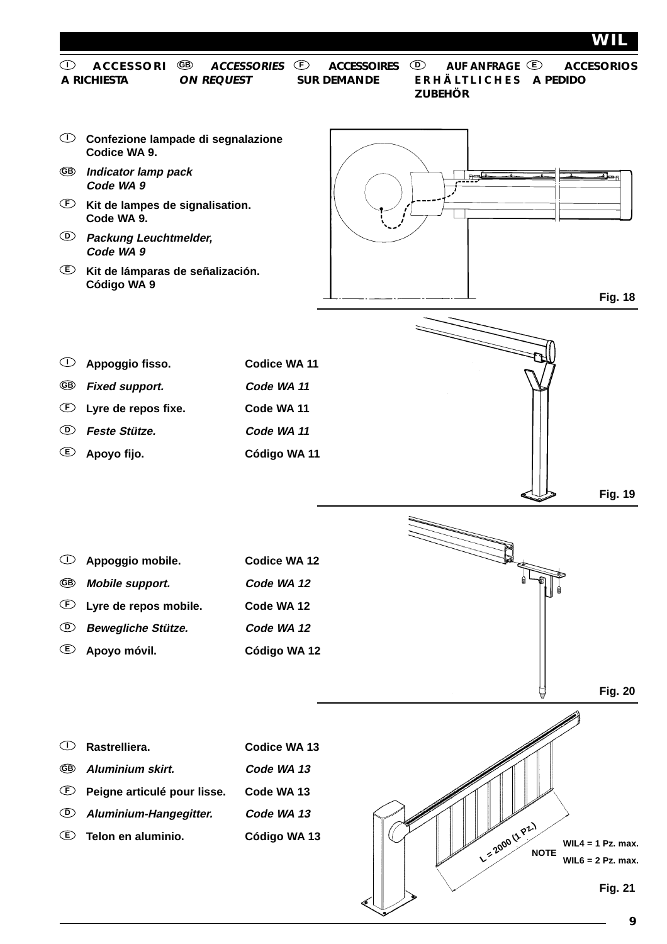|             |                                                 |                                              | WIL                                                                                                                                                                |
|-------------|-------------------------------------------------|----------------------------------------------|--------------------------------------------------------------------------------------------------------------------------------------------------------------------|
| Œ           | <b>ACCESSORI</b><br>A RICHIESTA                 | ®<br><b>ACCESSORIES</b><br><b>ON REQUEST</b> | $^\copyright$<br>AUF ANFRAGE <b>C</b><br>$\bigcirc$<br><b>ACCESSOIRES</b><br><b>ACCESORIOS</b><br>ERHÄLTLICHES<br><b>SUR DEMANDE</b><br>A PEDIDO<br><b>ZUBEHÖR</b> |
| CL)         | Codice WA 9.                                    | Confezione lampade di segnalazione           |                                                                                                                                                                    |
| <b>GB</b>   | <b>Indicator lamp pack</b><br>Code WA 9         |                                              | $7-$                                                                                                                                                               |
| $\bigoplus$ | Kit de lampes de signalisation.<br>Code WA 9.   |                                              |                                                                                                                                                                    |
| $^{\circ}$  | <b>Packung Leuchtmelder,</b><br>Code WA 9       |                                              |                                                                                                                                                                    |
| $\bigcirc$  | Kit de lámparas de señalización.<br>Código WA 9 |                                              |                                                                                                                                                                    |
|             |                                                 |                                              | <b>Fig. 18</b>                                                                                                                                                     |
|             |                                                 |                                              |                                                                                                                                                                    |

- $\cup$  Appoggio fisso. Codice WA 11 **Fixed support. Code WA 11 Lyre de repos fixe. Code WA 11 F Feste Stütze. Code WA 11 D GB**
- **Apoyo fijo. Código WA 11** <sup>*E*</sup> Apoyo fijo.



**Rastrelliera. Codice WA 13 Aluminium skirt. Code WA 13 GB**  $\mathbf{P}$  Peigne articulé pour lisse. Code WA 13 **Aluminium-Hangegitter. Code WA 13 Telon en aluminio. Código WA 13 E I** $\circ$  Rastrelliera. **D**



**Fig. 19**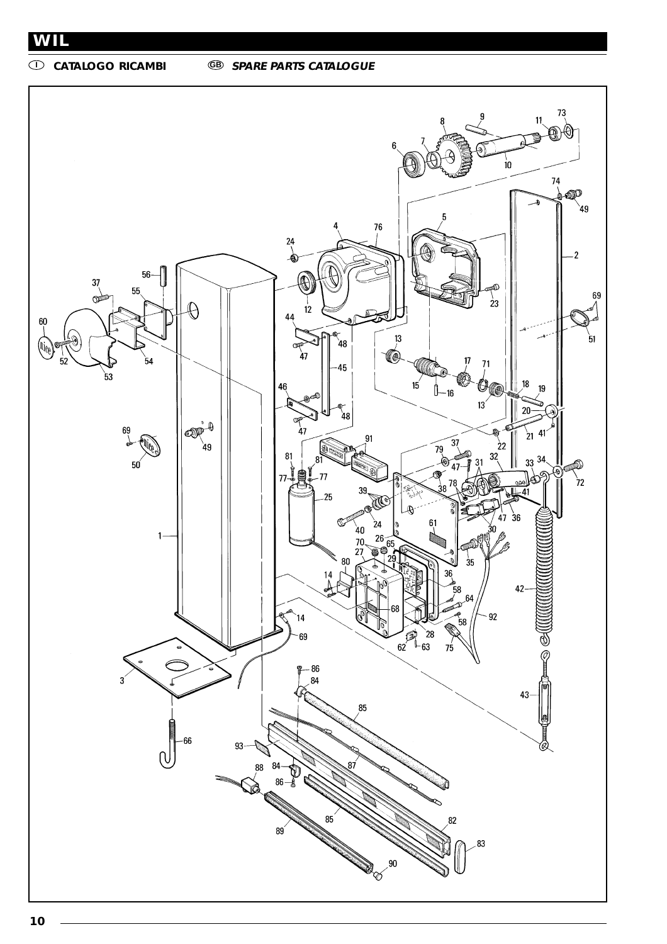**<sup>I</sup> CATALOGO RICAMBI GB SPARE PARTS CATALOGUE**

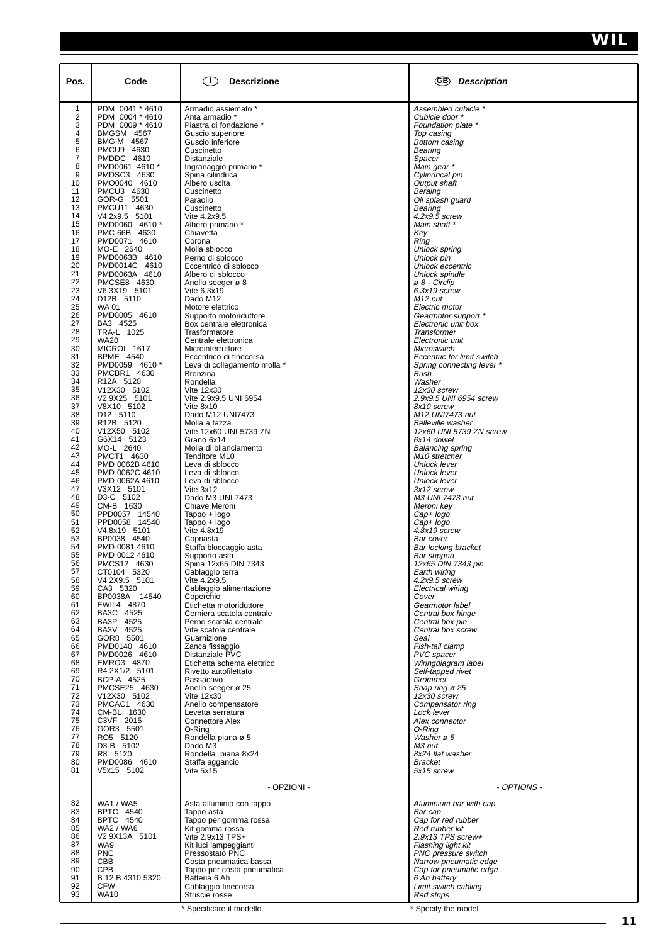| Pos.     | Code                                   | (I)<br><b>Descrizione</b>                            | (GB)<br><b>Description</b>                  |
|----------|----------------------------------------|------------------------------------------------------|---------------------------------------------|
| 1        | PDM 0041 * 4610                        | Armadio assiemato *                                  | Assembled cubicle *                         |
| 2        | PDM 0004 * 4610                        | Anta armadio '                                       | Cubicle door *                              |
| 3<br>4   | PDM 0009 * 4610<br><b>BMGSM 4567</b>   | Piastra di fondazione *<br>Guscio superiore          | Foundation plate *<br>Top casing            |
| 5        | <b>BMGIM 4567</b>                      | Guscio inferiore                                     | <b>Bottom casing</b>                        |
| 6        | PMCU9 4630                             | Cuscinetto                                           | Bearing                                     |
| 7<br>8   | PMDDC 4610<br>PMD0061 4610 *           | Distanziale<br>Ingranaggio primario *                | Spacer<br>Main gear *                       |
| 9        | PMDSC3 4630                            | Spina cilindrica                                     | Cylindrical pin                             |
| 10       | PMO0040 4610                           | Albero uscita                                        | Output shaft                                |
| 11<br>12 | PMCU3 4630<br>GOR-G 5501               | Cuscinetto<br>Paraolio                               | Beraing<br>Oil splash guard                 |
| 13       | PMCU11 4630                            | Cuscinetto                                           | Bearing                                     |
| 14<br>15 | V4.2x9.5 5101<br>PMD0060 4610 *        | Vite 4.2x9.5                                         | 4.2x9.5 screw                               |
| 16       | PMC 66B 4630                           | Albero primario *<br>Chiavetta                       | Main shaft *<br>Key                         |
| 17       | PMD0071 4610                           | Corona                                               | Ring                                        |
| 18<br>19 | MO-E 2640<br>PMD0063B 4610             | Molla sblocco<br>Perno di sblocco                    | Unlock spring                               |
| 20       | PMD0014C 4610                          | Eccentrico di sblocco                                | Unlock pin<br>Unlock eccentric              |
| 21       | PMD0063A 4610                          | Albero di sblocco                                    | Unlock spindle                              |
| 22<br>23 | PMCSE8 4630<br>V6.3X19 5101            | Anello seeger ø 8<br>Vite 6.3x19                     | ø 8 - Circlip<br>6.3x19 screw               |
| 24       | D12B 5110                              | Dado M12                                             | M12 nut                                     |
| 25       | WA 01                                  | Motore elettrico                                     | Electric motor                              |
| 26<br>27 | PMD0005 4610<br>BA3 4525               | Supporto motoriduttore<br>Box centrale elettronica   | Gearmotor support *<br>Electronic unit box  |
| 28       | TRA-L 1025                             | Trasformatore                                        | <b>Transformer</b>                          |
| 29       | <b>WA20</b>                            | Centrale elettronica                                 | Electronic unit                             |
| 30<br>31 | <b>MICROI 1617</b><br><b>BPME 4540</b> | Microinterruttore<br>Eccentrico di finecorsa         | Microswitch<br>Eccentric for limit switch   |
| 32       | PMD0059 4610 *                         | Leva di collegamento molla *                         | Spring connecting lever *                   |
| 33       | PMCBR1 4630                            | <b>Bronzina</b>                                      | Bush                                        |
| 34<br>35 | R12A 5120<br>V12X30 5102               | Rondella<br>Vite 12x30                               | Washer<br>12x30 screw                       |
| 36       | V2.9X25 5101                           | Vite 2.9x9.5 UNI 6954                                | 2.9x9.5 UNI 6954 screw                      |
| 37<br>38 | V8X10 5102                             | Vite 8x10                                            | 8x10 screw                                  |
| 39       | D <sub>12</sub> 5110<br>R12B 5120      | Dado M12 UNI7473<br>Molla a tazza                    | M12 UNI7473 nut<br><b>Belleville washer</b> |
| 40       | V12X50 5102                            | Vite 12x60 UNI 5739 ZN                               | 12x60 UNI 5739 ZN screw                     |
| 41<br>42 | G6X14 5123<br>MO-L 2640                | Grano 6x14                                           | 6x14 dowel                                  |
| 43       | PMCT1 4630                             | Molla di bilanciamento<br>Tenditore M10              | Balancing spring<br>M10 stretcher           |
| 44       | PMD 0062B 4610                         | Leva di sblocco                                      | Unlock lever                                |
| 45<br>46 | PMD 0062C 4610<br>PMD 0062A 4610       | Leva di sblocco<br>Leva di sblocco                   | Unlock lever<br>Unlock lever                |
| 47       | V3X12 5101                             | Vite 3x12                                            | 3x12 screw                                  |
| 48       | D3-C 5102                              | Dado M3 UNI 7473                                     | M3 UNI 7473 nut                             |
| 49<br>50 | CM-B 1630<br>PPD0057 14540             | Chiave Meroni<br>Tappo + logo                        | Meroni key<br>Cap+ logo                     |
| 51       | PPD0058 14540                          | Tappo + logo                                         | Cap+ logo                                   |
| 52       | V4.8x19 5101                           | Vite 4.8x19                                          | 4.8x19 screw                                |
| 53<br>54 | BP0038 4540<br>PMD 0081 4610           | Copriasta<br>Staffa bloccaggio asta                  | Bar cover<br>Bar locking bracket            |
| 55       | PMD 0012 4610                          | Supporto asta                                        | Bar support                                 |
| 56<br>57 | PMCS12 4630                            | Spina 12x65 DIN 7343                                 | 12x65 DIN 7343 pin                          |
| 58       | CT0104 5320<br>V4.2X9.5 5101           | Cablaggio terra<br>Vite 4.2x9.5                      | Earth wiring<br>4.2x9.5 screw               |
| 59       | CA3 5320                               | Cablaggio alimentazione                              | Electrical wiring                           |
| 60<br>61 | BP0038A 14540<br>EWIL4 4870            | Coperchio                                            | Cover                                       |
| 62       | BA3C 4525                              | Etichetta motoriduttore<br>Cerniera scatola centrale | Gearmotor label<br>Central box hinge        |
| 63       | BA3P 4525                              | Perno scatola centrale                               | Central box pin                             |
| 64<br>65 | BA3V 4525<br>GOR8 5501                 | Vite scatola centrale<br>Guarnizione                 | Central box screw<br>Seal                   |
| 66       | PMD0140 4610                           | Zanca fissaggio                                      | Fish-tail clamp                             |
| 67       | PMD0026 4610                           | Distanziale PVC                                      | PVC spacer                                  |
| 68<br>69 | EMRO3 4870<br>R4.2X1/2 5101            | Etichetta schema elettrico<br>Rivetto autofilettato  | Wiringdiagram label<br>Self-tapped rivet    |
| 70       | BCP-A 4525                             | Passacavo                                            | Grommet                                     |
| 71<br>72 | PMCSE25 4630<br>V12X30 5102            | Anello seeger ø 25<br><b>Vite 12x30</b>              | Snap ring ø 25<br>12x30 screw               |
| 73       | PMCAC1 4630                            | Anello compensatore                                  | Compensator ring                            |
| 74       | CM-BL 1630                             | Levetta serratura                                    | Lock lever                                  |
| 75<br>76 | C3VF 2015<br>GOR3 5501                 | <b>Connettore Alex</b><br>O-Ring                     | Alex connector<br>O-Ring                    |
| 77       | RO5 5120                               | Rondella piana ø 5                                   | Washer $\varnothing$ 5                      |
| 78       | D3-B 5102                              | Dado M3                                              | M3 nut                                      |
| 79<br>80 | R8 5120<br>PMD0086 4610                | Rondella piana 8x24<br>Staffa aggancio               | 8x24 flat washer<br><b>Bracket</b>          |
| 81       | V5x15 5102                             | Vite 5x15                                            | 5x15 screw                                  |
|          |                                        | - OPZIONI -                                          | - OPTIONS -                                 |
|          |                                        |                                                      |                                             |
| 82<br>83 | <b>WA1 / WA5</b><br>BPTC 4540          | Asta alluminio con tappo                             | Aluminium bar with cap                      |
| 84       | BPTC 4540                              | Tappo asta<br>Tappo per gomma rossa                  | Bar cap<br>Cap for red rubber               |
| 85       | WA2 / WA6                              | Kit gomma rossa                                      | Red rubber kit                              |
| 86<br>87 | V2.9X13A 5101<br>WA9                   | Vite 2.9x13 TPS+<br>Kit luci lampeggianti            | 2.9x13 TPS screw+<br>Flashing light kit     |
| 88       | <b>PNC</b>                             | Pressostato PNC                                      | PNC pressure switch                         |
| 89       | CBB                                    | Costa pneumatica bassa                               | Narrow pneumatic edge                       |
| 90<br>91 | CPB<br>B 12 B 4310 5320                | Tappo per costa pneumatica<br>Batteria 6 Ah          | Cap for pneumatic edge<br>6 Ah battery      |
| 92       | <b>CFW</b>                             | Cablaggio finecorsa                                  | Limit switch cabling                        |
| 93       | <b>WA10</b>                            | Striscie rosse                                       | <b>Red strips</b>                           |
|          |                                        | * Specificare il modello                             | * Specify the model                         |

T

T

T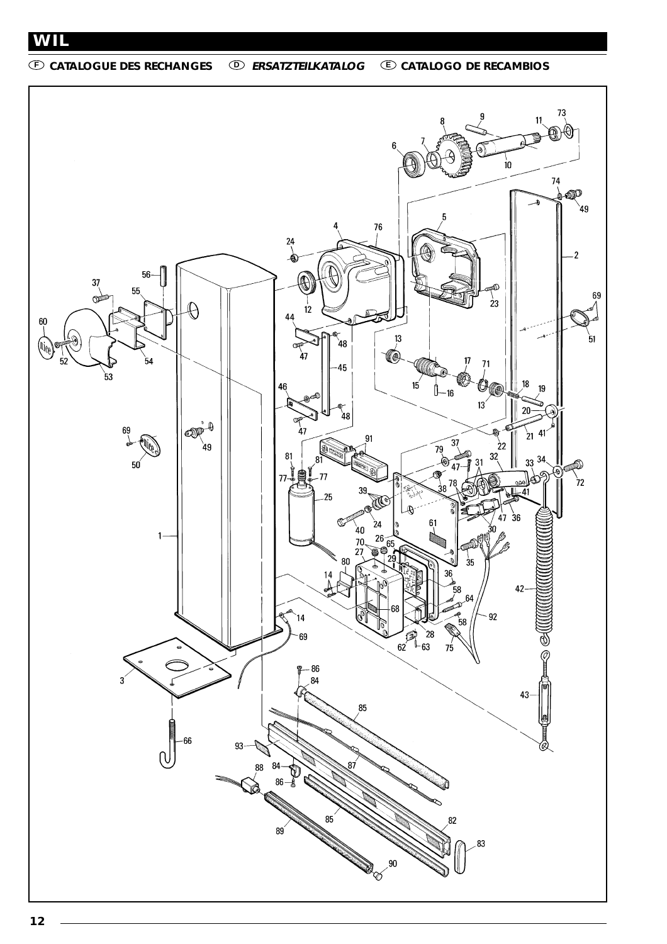**<sup>F</sup> CATALOGUE DES RECHANGES <sup>D</sup> ERSATZTEILKATALOG <sup>E</sup> CATALOGO DE RECAMBIOS**

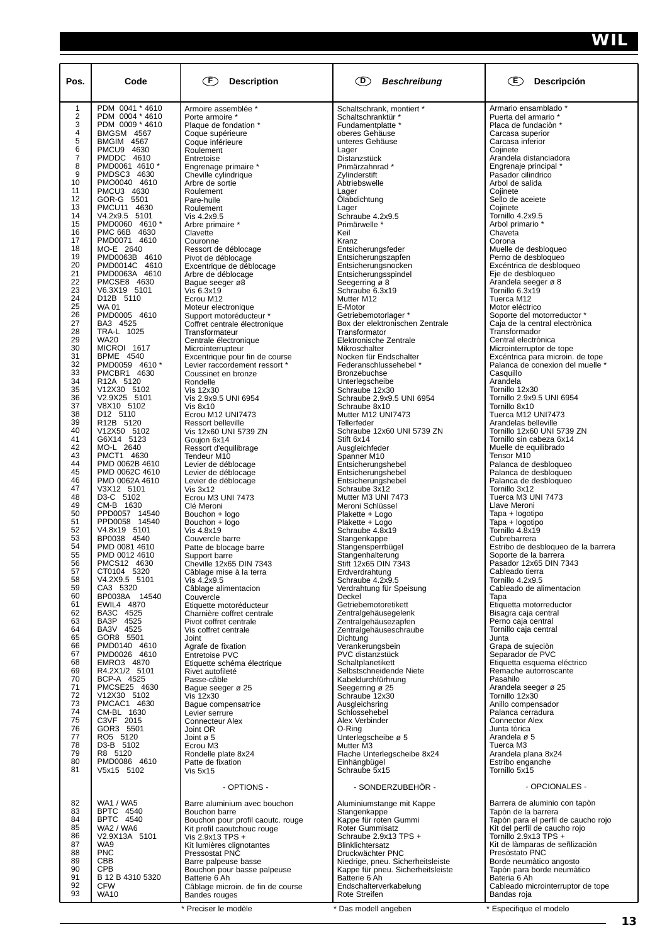| Pos.                | Code                                 | (F)<br><b>Description</b>                                        | $\left( D\right)$<br><b>Beschreibung</b>              | (E)<br>Descripción                                                   |
|---------------------|--------------------------------------|------------------------------------------------------------------|-------------------------------------------------------|----------------------------------------------------------------------|
| 1                   | PDM 0041 * 4610                      | Armoire assemblée *                                              | Schaltschrank, montiert *                             | Armario ensamblado *                                                 |
| $\overline{c}$      | PDM 0004 * 4610                      | Porte armoire *                                                  | Schaltschranktür *                                    | Puerta del armario *                                                 |
| 3<br>4              | PDM 0009 * 4610<br><b>BMGSM 4567</b> | Plaque de fondation *<br>Coque supérieure                        | Fundamentplatte *<br>oberes Gehäuse                   | Placa de fundación *<br>Carcasa superior                             |
| 5                   | <b>BMGIM 4567</b>                    | Coque inférieure                                                 | unteres Gehäuse                                       | Carcasa inferior                                                     |
| 6                   | PMCU9 4630                           | Roulement                                                        | Lager                                                 | Cojinete                                                             |
| $\overline{7}$<br>8 | PMDDC 4610<br>PMD0061 4610 *         | Entretoise                                                       | Distanzstück                                          | Arandela distanciadora                                               |
| 9                   | PMDSC3 4630                          | Engrenage primaire *<br>Cheville cylindrique                     | Primärzahnrad*<br>Zylinderstift                       | Engrenaje principal *<br>Pasador cilindrico                          |
| 10                  | PMO0040 4610                         | Arbre de sortie                                                  | Abtriebswelle                                         | Arbol de salida                                                      |
| 11<br>12            | PMCU3 4630<br>GOR-G 5501             | Roulement                                                        | Lager                                                 | Cojinete<br>Sello de aceiete                                         |
| 13                  | PMCU11 4630                          | Pare-huile<br>Roulement                                          | Olabdichtung<br>Lager                                 | Cojinete                                                             |
| 14                  | V4.2x9.5 5101                        | Vis 4.2x9.5                                                      | Schraube 4.2x9.5                                      | Tornillo 4.2x9.5                                                     |
| 15<br>16            | PMD0060 4610 *<br>PMC 66B 4630       | Arbre primaire *                                                 | Primärwelle *                                         | Arbol primario *<br>Chaveta                                          |
| 17                  | PMD0071 4610                         | Clavette<br>Couronne                                             | Keil<br>Kranz                                         | Corona                                                               |
| 18                  | MO-E 2640                            | Ressort de déblocage                                             | Entsicherungsfeder                                    | Muelle de desbloqueo                                                 |
| 19<br>20            | PMD0063B 4610<br>PMD0014C 4610       | Pivot de déblocage                                               | Entsicherungszapfen                                   | Perno de desbloqueo<br>Excéntrica de desbloqueo                      |
| 21                  | PMD0063A 4610                        | Excentrique de déblocage<br>Arbre de déblocage                   | Entsicherungsnocken<br>Entsicherungsspindel           | Eje de desbloqueo                                                    |
| 22                  | PMCSE8 4630                          | Bague seeger ø8                                                  | Seegerring ø 8                                        | Arandela seeger ø 8                                                  |
| 23<br>24            | V6.3X19 5101<br>D12B 5110            | Vis 6.3x19<br>Ecrou M12                                          | Schraube 6.3x19<br>Mutter M12                         | Tornillo 6.3x19<br>Tuerca M12                                        |
| 25                  | <b>WA01</b>                          | Moteur electronique                                              | E-Motor                                               | Motor eléctrico                                                      |
| 26                  | PMD0005 4610                         | Support motoréducteur *                                          | Getriebemotorlager *                                  | Soporte del motorreductor *                                          |
| 27<br>28            | BA3 4525<br>TRA-L 1025               | Coffret centrale électronique                                    | Box der elektronischen Zentrale<br>Transformator      | Caja de la central electrònica<br>Transformador                      |
| 29                  | <b>WA20</b>                          | Transformateur<br>Centrale électronique                          | Elektronische Zentrale                                | Central electrònica                                                  |
| 30                  | <b>MICROI 1617</b>                   | Microinterrupteur                                                | Mikroschalter                                         | Microinterruptor de tope                                             |
| 31<br>32            | <b>BPME 4540</b>                     | Excentrique pour fin de course                                   | Nocken für Endschalter                                | Excéntrica para microin. de tope<br>Palanca de conexion del muelle * |
| 33                  | PMD0059 4610 *<br>PMCBR1 4630        | Levier raccordement ressort *<br>Coussinet en bronze             | Federanschlussehebel *<br><b>Bronzebuchse</b>         | Casquillo                                                            |
| 34                  | R12A 5120                            | Rondelle                                                         | Unterlegscheibe                                       | Arandela                                                             |
| 35<br>36            | V12X30 5102                          | Vis 12x30                                                        | Schraube 12x30                                        | Tornillo 12x30                                                       |
| 37                  | V2.9X25 5101<br>V8X10 5102           | Vis 2.9x9.5 UNI 6954<br><b>Vis 8x10</b>                          | Schraube 2.9x9.5 UNI 6954<br>Schraube 8x10            | Tornillo 2.9x9.5 UNI 6954<br>Tornillo 8x10                           |
| 38                  | D12 5110                             | Ecrou M12 UNI7473                                                | Mutter M12 UNI7473                                    | Tuerca M12 UNI7473                                                   |
| 39<br>40            | R12B 5120                            | <b>Ressort belleville</b>                                        | Tellerfeder                                           | Arandelas belleville                                                 |
| 41                  | V12X50 5102<br>G6X14 5123            | Vis 12x60 UNI 5739 ZN<br>Goujon 6x14                             | Schraube 12x60 UNI 5739 ZN<br>Stift 6x14              | Tornillo 12x60 UNI 5739 ZN<br>Tornillo sin cabeza 6x14               |
| 42                  | MO-L 2640                            | Ressort d'equilibrage                                            | Ausgleichfeder                                        | Muelle de equilibrado                                                |
| 43<br>44            | PMCT1 4630                           | Tendeur M10                                                      | Spanner M10                                           | Tensor M10                                                           |
| 45                  | PMD 0062B 4610<br>PMD 0062C 4610     | Levier de déblocage<br>Levier de déblocage                       | Entsicherungshebel<br>Entsicherungshebel              | Palanca de desbloqueo<br>Palanca de desbloqueo                       |
| 46                  | PMD 0062A 4610                       | Levier de déblocage                                              | Entsicherungshebel                                    | Palanca de desbloqueo                                                |
| 47<br>48            | V3X12 5101<br>D3-C 5102              | Vis 3x12                                                         | Schraube 3x12                                         | Tornillo 3x12                                                        |
| 49                  | CM-B 1630                            | Ecrou M3 UNI 7473<br>Clé Meroni                                  | Mutter M3 UNI 7473<br>Meroni Schlüssel                | Tuerca M3 UNI 7473<br>Llave Meroni                                   |
| 50                  | PPD0057 14540                        | Bouchon + logo                                                   | Plakette + Logo                                       | Tapa + logotipo                                                      |
| 51                  | PPD0058 14540                        | Bouchon + logo                                                   | Plakette + Logo                                       | Tapa + logotipo                                                      |
| 52<br>53            | V4.8x19 5101<br>BP0038 4540          | Vis 4.8x19<br>Couvercle barre                                    | Schraube 4.8x19<br>Stangenkappe                       | Tornillo 4.8x19<br>Cubrebarrera                                      |
| 54                  | PMD 0081 4610                        | Patte de blocage barre                                           | Stangensperrbügel                                     | Estribo de desbloqueo de la barrera                                  |
| 55<br>56            | PMD 0012 4610<br>PMCS12 4630         | Support barre                                                    | Stangenhalterung                                      | Soporte de la barrera<br>Pasador 12x65 DIN 7343                      |
|                     | CT0104 5320                          | Cheville 12x65 DIN 7343<br>Câblage mise à la terra               | Stift 12x65 DIN 7343<br>Erdverdrahtung                | Cableado tierra                                                      |
| 57<br>58            | V4.2X9.5 5101                        | Vis 4.2x9.5                                                      | Schraube 4.2x9.5                                      | Tornillo 4.2x9.5                                                     |
| 59<br>60            | CA3 5320<br>BP0038A 14540            | Câblage alimentacion<br>Couvercle                                | Verdrahtung für Speisung<br>Deckel                    | Cableado de alimentacion<br>Tapa                                     |
| 61                  | EWIL4 4870                           | Etiquette motoréducteur                                          | Getriebemotoretikett                                  | Etiquetta motorreductor                                              |
| 62                  | BA3C 4525                            | Charnière coffret centrale                                       | Zentralgehäusegelenk                                  | Bisagra caja central                                                 |
| 63<br>64            | BA3P 4525<br>BA3V 4525               | Pivot coffret centrale                                           | Zentralgehäusezapfen<br>Zentralgehäuseschraube        | Perno caja central                                                   |
| 65                  | GOR8 5501                            | Vis coffret centrale<br>Joint                                    | Dichtung                                              | Tornillo caja central<br>Junta                                       |
| 66                  | PMD0140 4610                         | Agrafe de fixation                                               | Verankerungsbein                                      | Grapa de sujeción                                                    |
| 67<br>68            | PMD0026 4610<br>EMRO3 4870           | Entretoise PVC<br>Etiquette schéma électrique                    | PVC distanzstück<br>Schaltplanetikett                 | Separador de PVC<br>Etiquetta esquema eléctrico                      |
| 69                  | R4.2X1/2 5101                        | Rivet autofileté                                                 | Selbstschneidende Niete                               | Remache autorroscante                                                |
| 70                  | BCP-A 4525                           | Passe-câble                                                      | Kabeldurchfürhrung                                    | Pasahilo                                                             |
| 71<br>72            | PMCSE25 4630<br>V12X30 5102          | Bague seeger ø 25<br>Vis 12x30                                   | Seegerring ø 25<br>Schraube 12x30                     | Arandela seeger ø 25<br>Tornillo 12x30                               |
| 73                  | PMCAC1 4630                          | Bague compensatrice                                              | Ausgleichsring                                        | Anillo compensador                                                   |
| 74<br>75            | CM-BL 1630                           | Levier serrure                                                   | Schlossehebel                                         | Palanca cerradura                                                    |
| 76                  | C3VF 2015<br>GOR3 5501               | <b>Connecteur Alex</b><br>Joint OR                               | Alex Verbinder<br>O-Ring                              | <b>Connector Alex</b><br>Junta tòrica                                |
| 77                  | RO5 5120                             | Joint ø 5                                                        | Unterlegscheibe ø 5                                   | Arandela ø 5                                                         |
| 78<br>79            | D3-B 5102<br>R8 5120                 | Ecrou M3                                                         | Mutter M3                                             | Tuerca M3                                                            |
| 80                  | PMD0086 4610                         | Rondelle plate 8x24<br>Patte de fixation                         | Flache Unterlegscheibe 8x24<br>Einhängbügel           | Arandela plana 8x24<br>Estribo enganche                              |
| 81                  | V5x15 5102                           | Vis 5x15                                                         | Schraube 5x15                                         | Tornillo 5x15                                                        |
|                     |                                      | - OPTIONS -                                                      | - SONDERZUBEHÖR -                                     | - OPCIONALES -                                                       |
| 82                  | <b>WA1 / WA5</b>                     | Barre aluminium avec bouchon                                     | Aluminiumstange mit Kappe                             | Barrera de aluminio con tapòn                                        |
| 83                  | <b>BPTC 4540</b>                     | Bouchon barre                                                    | Stangenkappe                                          | Tapòn de la barrera                                                  |
| 84<br>85            | <b>BPTC 4540</b><br><b>WA2 / WA6</b> | Bouchon pour profil caoutc. rouge<br>Kit profil caoutchouc rouge | Kappe für roten Gummi<br>Roter Gummisatz              | Tapòn para el perfil de caucho rojo<br>Kit del perfil de caucho rojo |
| 86                  | V2.9X13A 5101                        | Vis 2.9x13 TPS +                                                 | Schraube 2.9x13 TPS +                                 | Tornillo 2.9x13 TPS +                                                |
| 87                  | WA9                                  | Kit lumières clignotantes                                        | Blinklichtersatz                                      | Kit de làmparas de señlizaciòn                                       |
| 88<br>89            | <b>PNC</b><br>CBB                    | Pressostat PNC<br>Barre palpeuse basse                           | Druckwächter PNC<br>Niedrige, pneu. Sicherheitsleiste | Presòstato PNC<br>Borde neumàtico angosto                            |
| 90                  | <b>CPB</b>                           | Bouchon pour basse palpeuse                                      | Kappe für pneu. Sicherheitsleiste                     | Tapòn para borde neumàtico                                           |
| 91<br>92            | B 12 B 4310 5320<br><b>CFW</b>       | Batterie 6 Ah                                                    | Batterie 6 Ah<br>Endschalterverkabelung               | Bateria 6 Ah<br>Cableado microinterruptor de tope                    |
| 93                  | <b>WA10</b>                          | Câblage microin. de fin de course<br>Bandes rouges               | Rote Streifen                                         | Bandas roja                                                          |

\* Preciser le modèle \* Das modell angeben \* Especifique el modelo

 $\overline{a}$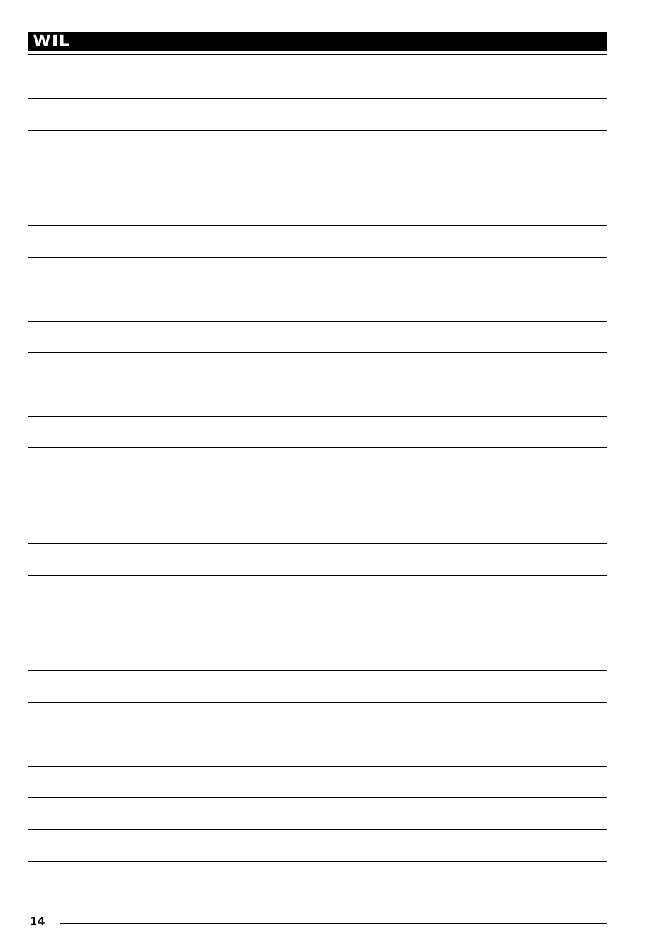|--|--|--|--|--|--|--|--|--|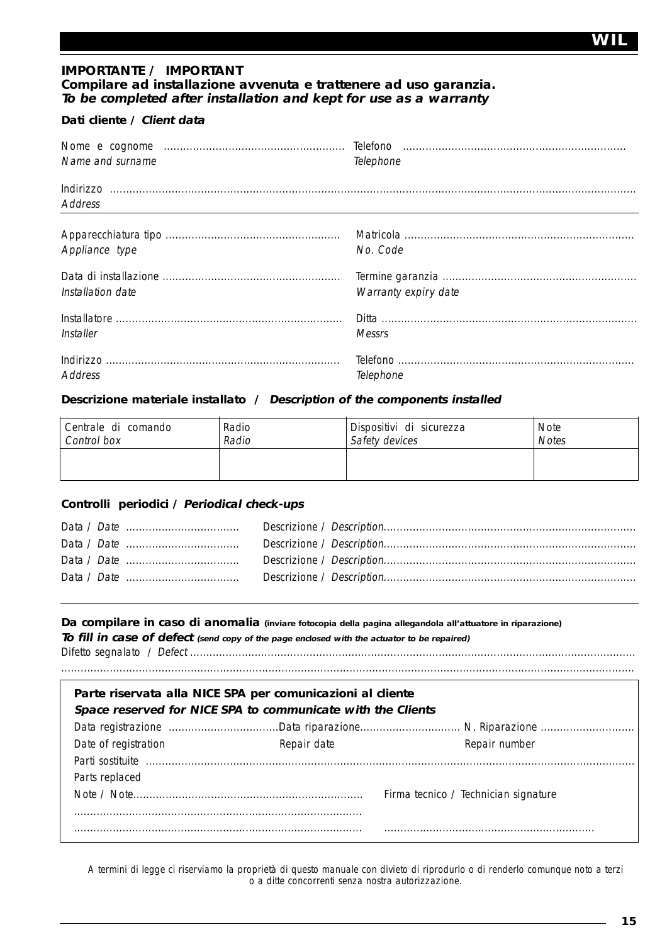## **IMPORTANTE / IMPORTANT Compilare ad installazione avvenuta e trattenere ad uso garanzia. To be completed after installation and kept for use as a warranty**

## **Dati cliente / Client data**

| Name and surname  | Telephone            |
|-------------------|----------------------|
| Address           |                      |
|                   |                      |
| Appliance type    | No. Code             |
|                   |                      |
| Installation date | Warranty expiry date |
|                   |                      |
| Installer         | <b>Messrs</b>        |
|                   |                      |
| <b>Address</b>    | Telephone            |

## **Descrizione materiale installato / Description of the components installed**

| Centrale di comando | Radio | Dispositivi di sicurezza | <b>Note</b>  |
|---------------------|-------|--------------------------|--------------|
| Control box         | Radio | Safety devices           | <b>Notes</b> |
|                     |       |                          |              |

## **Controlli periodici / Periodical check-ups**

### **Da compilare in caso di anomalia (inviare fotocopia della pagina allegandola all'attuatore in riparazione) To fill in case of defect (send copy of the page enclosed with the actuator to be repaired)**

Difetto segnalato / Defect ..........................................................................................................................................

.................................................................................................................................................................................

| Parte riservata alla NICE SPA per comunicazioni al cliente  |             |                                      |  |  |  |
|-------------------------------------------------------------|-------------|--------------------------------------|--|--|--|
| Space reserved for NICE SPA to communicate with the Clients |             |                                      |  |  |  |
|                                                             |             |                                      |  |  |  |
| Date of registration                                        | Repair date | Repair number                        |  |  |  |
|                                                             |             |                                      |  |  |  |
| Parts replaced                                              |             |                                      |  |  |  |
|                                                             |             | Firma tecnico / Technician signature |  |  |  |
|                                                             |             |                                      |  |  |  |
|                                                             |             |                                      |  |  |  |

A termini di legge ci riserviamo la proprietà di questo manuale con divieto di riprodurlo o di renderlo comunque noto a terzi o a ditte concorrenti senza nostra autorizzazione.